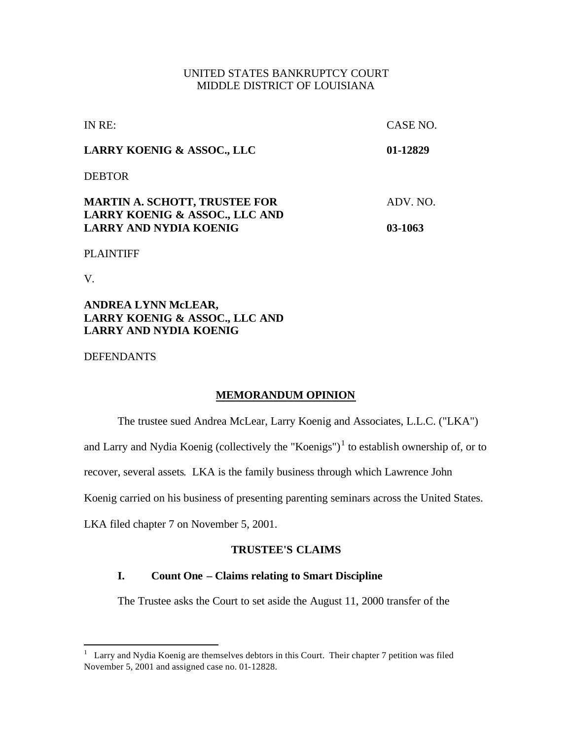## UNITED STATES BANKRUPTCY COURT MIDDLE DISTRICT OF LOUISIANA

| IN RE:                                                                 | CASE NO. |
|------------------------------------------------------------------------|----------|
| <b>LARRY KOENIG &amp; ASSOC., LLC</b>                                  | 01-12829 |
| <b>DEBTOR</b>                                                          |          |
| <b>MARTIN A. SCHOTT, TRUSTEE FOR</b><br>LARRY KOENIG & ASSOC., LLC AND | ADV. NO. |
| <b>LARRY AND NYDIA KOENIG</b>                                          | 03-1063  |

## PLAINTIFF

V.

## **ANDREA LYNN McLEAR, LARRY KOENIG & ASSOC., LLC AND LARRY AND NYDIA KOENIG**

## DEFENDANTS

## **MEMORANDUM OPINION**

The trustee sued Andrea McLear, Larry Koenig and Associates, L.L.C. ("LKA")

and Larry and Nydia Koenig (collectively the "Koenigs")<sup>1</sup> to establish ownership of, or to

recover, several assets. LKA is the family business through which Lawrence John

Koenig carried on his business of presenting parenting seminars across the United States.

LKA filed chapter 7 on November 5, 2001.

## **TRUSTEE'S CLAIMS**

## **I. Count One – Claims relating to Smart Discipline**

The Trustee asks the Court to set aside the August 11, 2000 transfer of the

<sup>&</sup>lt;sup>1</sup> Larry and Nydia Koenig are themselves debtors in this Court. Their chapter 7 petition was filed November 5, 2001 and assigned case no. 01-12828.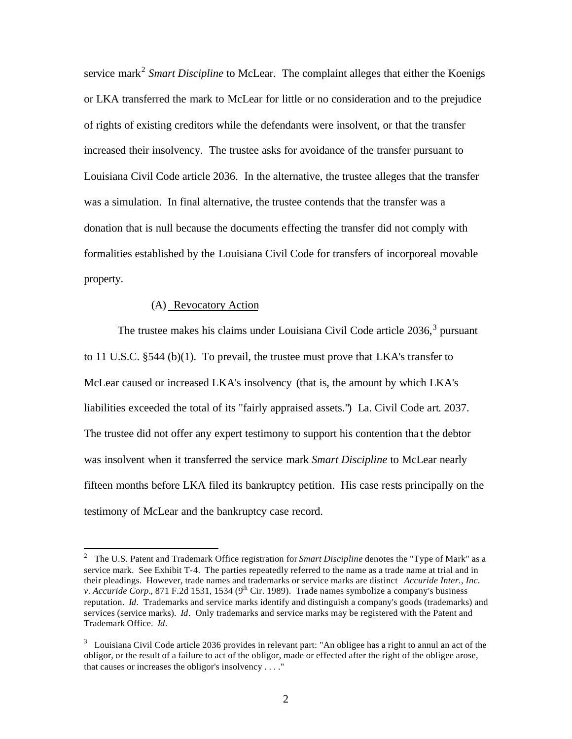service mark<sup>2</sup> Smart Discipline to McLear. The complaint alleges that either the Koenigs or LKA transferred the mark to McLear for little or no consideration and to the prejudice of rights of existing creditors while the defendants were insolvent, or that the transfer increased their insolvency. The trustee asks for avoidance of the transfer pursuant to Louisiana Civil Code article 2036. In the alternative, the trustee alleges that the transfer was a simulation. In final alternative, the trustee contends that the transfer was a donation that is null because the documents effecting the transfer did not comply with formalities established by the Louisiana Civil Code for transfers of incorporeal movable property.

#### (A) Revocatory Action

 $\overline{a}$ 

The trustee makes his claims under Louisiana Civil Code article  $2036$ ,  $3$  pursuant to 11 U.S.C.  $\S 544$  (b)(1). To prevail, the trustee must prove that LKA's transfer to McLear caused or increased LKA's insolvency (that is, the amount by which LKA's liabilities exceeded the total of its "fairly appraised assets.") La. Civil Code art. 2037. The trustee did not offer any expert testimony to support his contention tha t the debtor was insolvent when it transferred the service mark *Smart Discipline* to McLear nearly fifteen months before LKA filed its bankruptcy petition. His case rests principally on the testimony of McLear and the bankruptcy case record.

<sup>&</sup>lt;sup>2</sup> The U.S. Patent and Trademark Office registration for *Smart Discipline* denotes the "Type of Mark" as a service mark. See Exhibit T-4. The parties repeatedly referred to the name as a trade name at trial and in their pleadings. However, trade names and trademarks or service marks are distinct *Accuride Inter., Inc. v. Accuride Corp.*, 871 F.2d 1531, 1534 (9<sup>th</sup> Cir. 1989). Trade names symbolize a company's business reputation. *Id*. Trademarks and service marks identify and distinguish a company's goods (trademarks) and services (service marks). *Id*. Only trademarks and service marks may be registered with the Patent and Trademark Office. *Id*.

 $3$  Louisiana Civil Code article 2036 provides in relevant part: "An obligee has a right to annul an act of the obligor, or the result of a failure to act of the obligor, made or effected after the right of the obligee arose, that causes or increases the obligor's insolvency . . . ."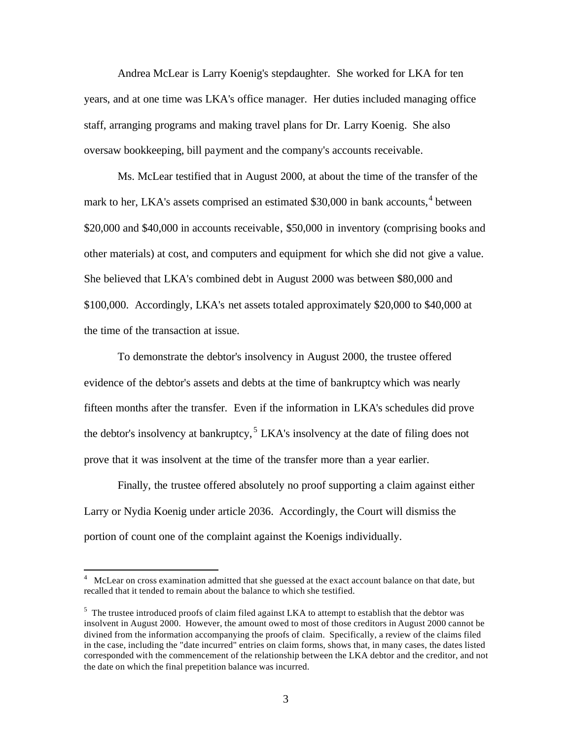Andrea McLear is Larry Koenig's stepdaughter. She worked for LKA for ten years, and at one time was LKA's office manager. Her duties included managing office staff, arranging programs and making travel plans for Dr. Larry Koenig. She also oversaw bookkeeping, bill payment and the company's accounts receivable.

Ms. McLear testified that in August 2000, at about the time of the transfer of the mark to her, LKA's assets comprised an estimated \$30,000 in bank accounts,<sup>4</sup> between \$20,000 and \$40,000 in accounts receivable, \$50,000 in inventory (comprising books and other materials) at cost, and computers and equipment for which she did not give a value. She believed that LKA's combined debt in August 2000 was between \$80,000 and \$100,000. Accordingly, LKA's net assets totaled approximately \$20,000 to \$40,000 at the time of the transaction at issue.

To demonstrate the debtor's insolvency in August 2000, the trustee offered evidence of the debtor's assets and debts at the time of bankruptcy which was nearly fifteen months after the transfer. Even if the information in LKA's schedules did prove the debtor's insolvency at bankruptcy,  $5$  LKA's insolvency at the date of filing does not prove that it was insolvent at the time of the transfer more than a year earlier.

Finally, the trustee offered absolutely no proof supporting a claim against either Larry or Nydia Koenig under article 2036. Accordingly, the Court will dismiss the portion of count one of the complaint against the Koenigs individually.

<sup>4</sup> McLear on cross examination admitted that she guessed at the exact account balance on that date, but recalled that it tended to remain about the balance to which she testified.

<sup>&</sup>lt;sup>5</sup> The trustee introduced proofs of claim filed against LKA to attempt to establish that the debtor was insolvent in August 2000. However, the amount owed to most of those creditors in August 2000 cannot be divined from the information accompanying the proofs of claim. Specifically, a review of the claims filed in the case, including the "date incurred" entries on claim forms, shows that, in many cases, the dates listed corresponded with the commencement of the relationship between the LKA debtor and the creditor, and not the date on which the final prepetition balance was incurred.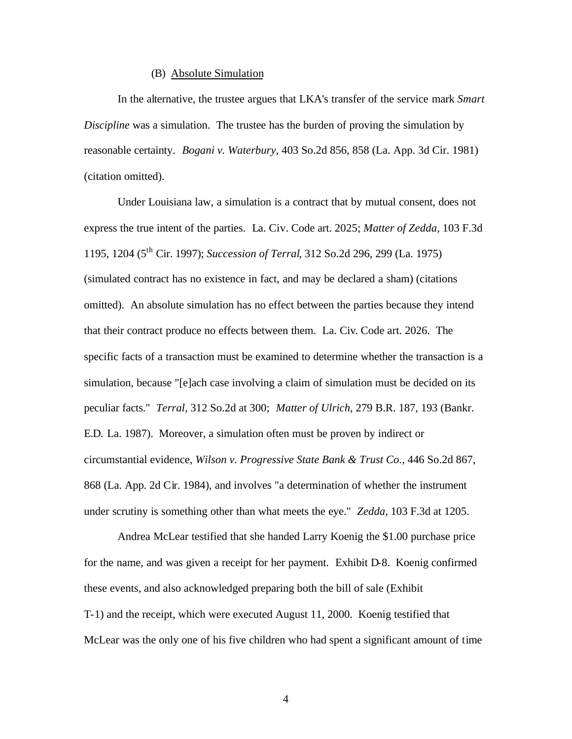## (B) Absolute Simulation

In the alternative, the trustee argues that LKA's transfer of the service mark *Smart Discipline* was a simulation. The trustee has the burden of proving the simulation by reasonable certainty. *Bogani v. Waterbury*, 403 So.2d 856, 858 (La. App. 3d Cir. 1981) (citation omitted).

Under Louisiana law, a simulation is a contract that by mutual consent, does not express the true intent of the parties. La. Civ. Code art. 2025; *Matter of Zedda*, 103 F.3d 1195, 1204 (5th Cir. 1997); *Succession of Terral*, 312 So.2d 296, 299 (La. 1975) (simulated contract has no existence in fact, and may be declared a sham) (citations omitted). An absolute simulation has no effect between the parties because they intend that their contract produce no effects between them. La. Civ. Code art. 2026. The specific facts of a transaction must be examined to determine whether the transaction is a simulation, because "[e]ach case involving a claim of simulation must be decided on its peculiar facts." *Terral*, 312 So.2d at 300; *Matter of Ulrich*, 279 B.R. 187, 193 (Bankr. E.D. La. 1987). Moreover, a simulation often must be proven by indirect or circumstantial evidence, *Wilson v. Progressive State Bank & Trust Co.*, 446 So.2d 867, 868 (La. App. 2d Cir. 1984), and involves "a determination of whether the instrument under scrutiny is something other than what meets the eye." *Zedda,* 103 F.3d at 1205.

Andrea McLear testified that she handed Larry Koenig the \$1.00 purchase price for the name, and was given a receipt for her payment. Exhibit D-8. Koenig confirmed these events, and also acknowledged preparing both the bill of sale (Exhibit T-1) and the receipt, which were executed August 11, 2000. Koenig testified that McLear was the only one of his five children who had spent a significant amount of time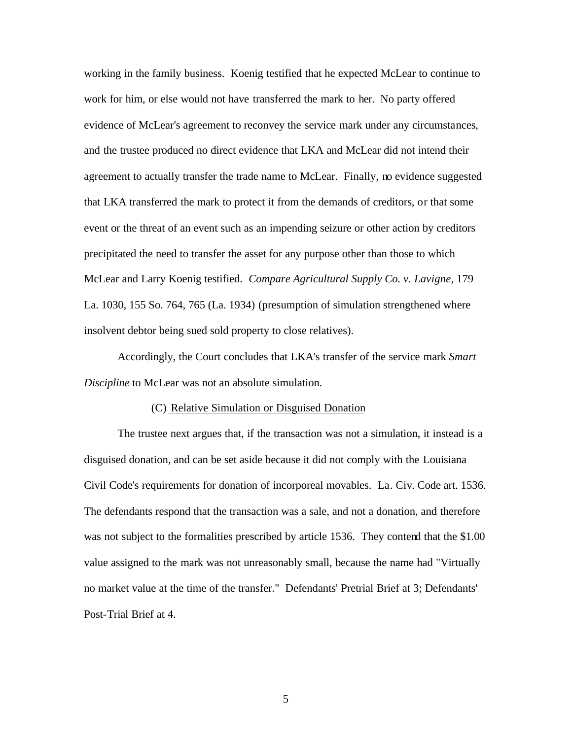working in the family business. Koenig testified that he expected McLear to continue to work for him, or else would not have transferred the mark to her. No party offered evidence of McLear's agreement to reconvey the service mark under any circumstances, and the trustee produced no direct evidence that LKA and McLear did not intend their agreement to actually transfer the trade name to McLear. Finally, no evidence suggested that LKA transferred the mark to protect it from the demands of creditors, or that some event or the threat of an event such as an impending seizure or other action by creditors precipitated the need to transfer the asset for any purpose other than those to which McLear and Larry Koenig testified. *Compare Agricultural Supply Co. v. Lavigne*, 179 La. 1030, 155 So. 764, 765 (La. 1934) (presumption of simulation strengthened where insolvent debtor being sued sold property to close relatives).

Accordingly, the Court concludes that LKA's transfer of the service mark *Smart Discipline* to McLear was not an absolute simulation.

#### (C) Relative Simulation or Disguised Donation

The trustee next argues that, if the transaction was not a simulation, it instead is a disguised donation, and can be set aside because it did not comply with the Louisiana Civil Code's requirements for donation of incorporeal movables. La. Civ. Code art. 1536. The defendants respond that the transaction was a sale, and not a donation, and therefore was not subject to the formalities prescribed by article 1536. They contend that the \$1.00 value assigned to the mark was not unreasonably small, because the name had "Virtually no market value at the time of the transfer." Defendants' Pretrial Brief at 3; Defendants' Post-Trial Brief at 4.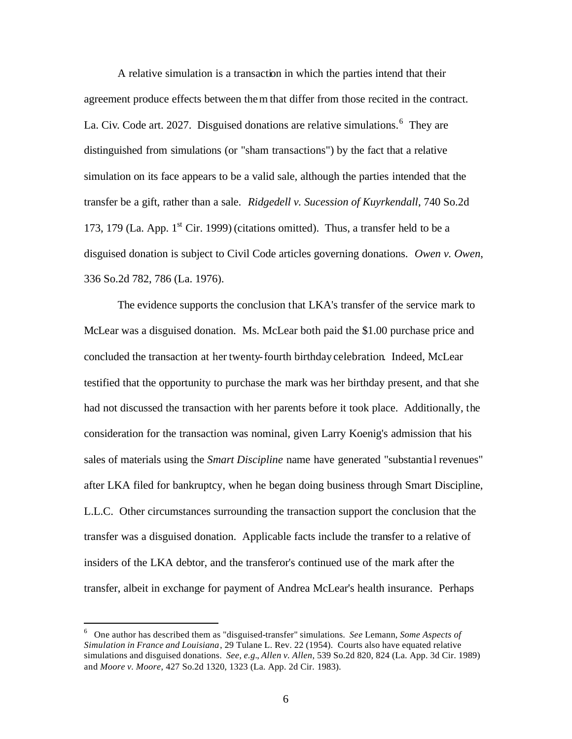A relative simulation is a transaction in which the parties intend that their agreement produce effects between them that differ from those recited in the contract. La. Civ. Code art. 2027. Disguised donations are relative simulations.<sup>6</sup> They are distinguished from simulations (or "sham transactions") by the fact that a relative simulation on its face appears to be a valid sale, although the parties intended that the transfer be a gift, rather than a sale. *Ridgedell v. Sucession of Kuyrkendall*, 740 So.2d 173, 179 (La. App.  $1<sup>st</sup>$  Cir. 1999) (citations omitted). Thus, a transfer held to be a disguised donation is subject to Civil Code articles governing donations. *Owen v. Owen*, 336 So.2d 782, 786 (La. 1976).

The evidence supports the conclusion that LKA's transfer of the service mark to McLear was a disguised donation. Ms. McLear both paid the \$1.00 purchase price and concluded the transaction at her twenty-fourth birthday celebration. Indeed, McLear testified that the opportunity to purchase the mark was her birthday present, and that she had not discussed the transaction with her parents before it took place. Additionally, the consideration for the transaction was nominal, given Larry Koenig's admission that his sales of materials using the *Smart Discipline* name have generated "substantia l revenues" after LKA filed for bankruptcy, when he began doing business through Smart Discipline, L.L.C. Other circumstances surrounding the transaction support the conclusion that the transfer was a disguised donation. Applicable facts include the transfer to a relative of insiders of the LKA debtor, and the transferor's continued use of the mark after the transfer, albeit in exchange for payment of Andrea McLear's health insurance. Perhaps

<sup>6</sup> One author has described them as "disguised-transfer" simulations. *See* Lemann, *Some Aspects of Simulation in France and Louisiana*, 29 Tulane L. Rev. 22 (1954). Courts also have equated relative simulations and disguised donations. *See, e.g.*, *Allen v. Allen*, 539 So.2d 820, 824 (La. App. 3d Cir. 1989) and *Moore v. Moore*, 427 So.2d 1320, 1323 (La. App. 2d Cir. 1983).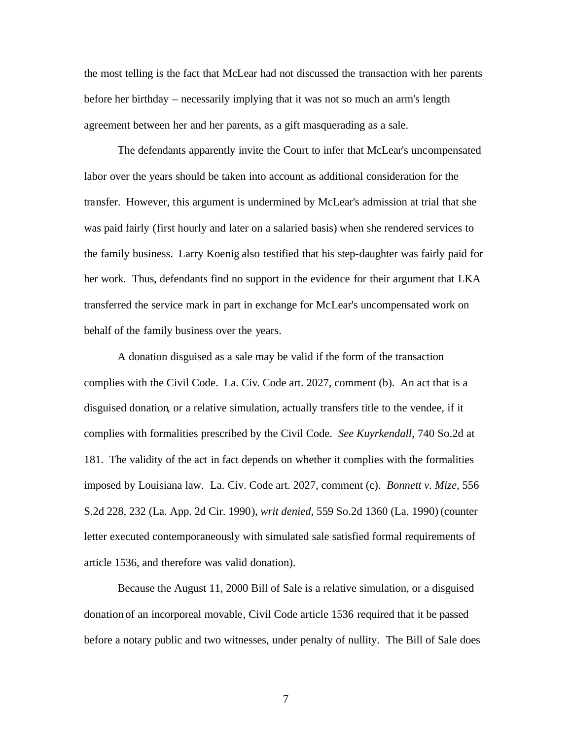the most telling is the fact that McLear had not discussed the transaction with her parents before her birthday – necessarily implying that it was not so much an arm's length agreement between her and her parents, as a gift masquerading as a sale.

The defendants apparently invite the Court to infer that McLear's uncompensated labor over the years should be taken into account as additional consideration for the transfer. However, this argument is undermined by McLear's admission at trial that she was paid fairly (first hourly and later on a salaried basis) when she rendered services to the family business. Larry Koenig also testified that his step-daughter was fairly paid for her work. Thus, defendants find no support in the evidence for their argument that LKA transferred the service mark in part in exchange for McLear's uncompensated work on behalf of the family business over the years.

A donation disguised as a sale may be valid if the form of the transaction complies with the Civil Code. La. Civ. Code art. 2027, comment (b). An act that is a disguised donation, or a relative simulation, actually transfers title to the vendee, if it complies with formalities prescribed by the Civil Code. *See Kuyrkendall*, 740 So.2d at 181. The validity of the act in fact depends on whether it complies with the formalities imposed by Louisiana law. La. Civ. Code art. 2027, comment (c). *Bonnett v. Mize,* 556 S.2d 228, 232 (La. App. 2d Cir. 1990), *writ denied,* 559 So.2d 1360 (La. 1990) (counter letter executed contemporaneously with simulated sale satisfied formal requirements of article 1536, and therefore was valid donation).

Because the August 11, 2000 Bill of Sale is a relative simulation, or a disguised donation of an incorporeal movable, Civil Code article 1536 required that it be passed before a notary public and two witnesses, under penalty of nullity. The Bill of Sale does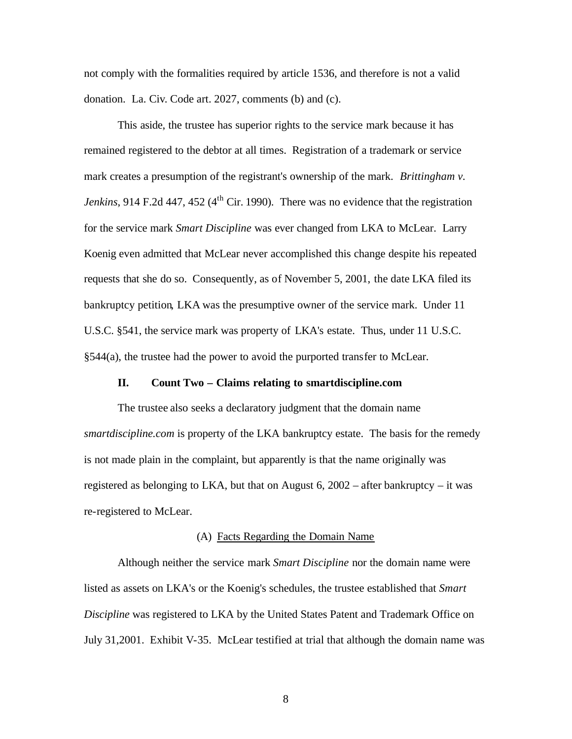not comply with the formalities required by article 1536, and therefore is not a valid donation. La. Civ. Code art. 2027, comments (b) and (c).

This aside, the trustee has superior rights to the service mark because it has remained registered to the debtor at all times. Registration of a trademark or service mark creates a presumption of the registrant's ownership of the mark. *Brittingham v. Jenkins*, 914 F.2d 447, 452 ( $4<sup>th</sup>$  Cir. 1990). There was no evidence that the registration for the service mark *Smart Discipline* was ever changed from LKA to McLear. Larry Koenig even admitted that McLear never accomplished this change despite his repeated requests that she do so. Consequently, as of November 5, 2001, the date LKA filed its bankruptcy petition, LKA was the presumptive owner of the service mark. Under 11 U.S.C. §541, the service mark was property of LKA's estate. Thus, under 11 U.S.C. §544(a), the trustee had the power to avoid the purported transfer to McLear.

### **II. Count Two – Claims relating to smartdiscipline.com**

The trustee also seeks a declaratory judgment that the domain name *smartdiscipline.com* is property of the LKA bankruptcy estate. The basis for the remedy is not made plain in the complaint, but apparently is that the name originally was registered as belonging to LKA, but that on August  $6, 2002$  – after bankruptcy – it was re-registered to McLear.

#### (A) Facts Regarding the Domain Name

Although neither the service mark *Smart Discipline* nor the domain name were listed as assets on LKA's or the Koenig's schedules, the trustee established that *Smart Discipline* was registered to LKA by the United States Patent and Trademark Office on July 31,2001. Exhibit V-35. McLear testified at trial that although the domain name was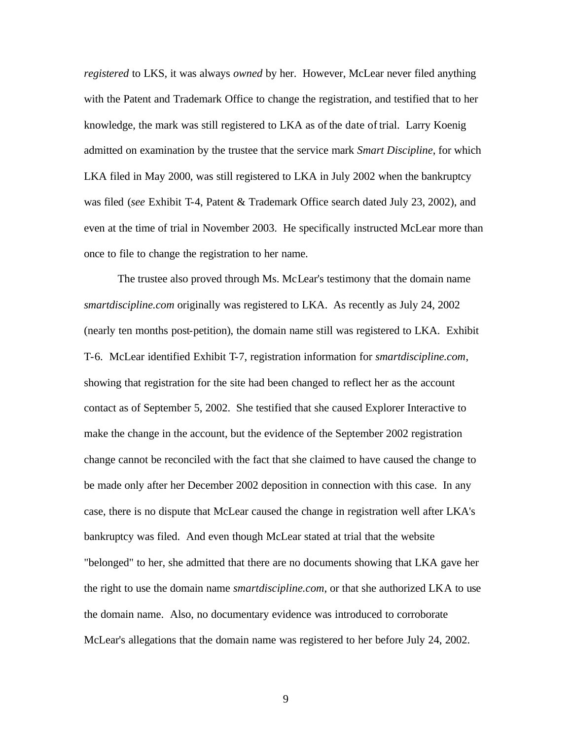*registered* to LKS, it was always *owned* by her. However, McLear never filed anything with the Patent and Trademark Office to change the registration, and testified that to her knowledge, the mark was still registered to LKA as of the date of trial. Larry Koenig admitted on examination by the trustee that the service mark *Smart Discipline*, for which LKA filed in May 2000, was still registered to LKA in July 2002 when the bankruptcy was filed (*see* Exhibit T-4, Patent & Trademark Office search dated July 23, 2002), and even at the time of trial in November 2003. He specifically instructed McLear more than once to file to change the registration to her name.

The trustee also proved through Ms. McLear's testimony that the domain name *smartdiscipline.com* originally was registered to LKA. As recently as July 24, 2002 (nearly ten months post-petition), the domain name still was registered to LKA. Exhibit T-6. McLear identified Exhibit T-7, registration information for *smartdiscipline.com*, showing that registration for the site had been changed to reflect her as the account contact as of September 5, 2002. She testified that she caused Explorer Interactive to make the change in the account, but the evidence of the September 2002 registration change cannot be reconciled with the fact that she claimed to have caused the change to be made only after her December 2002 deposition in connection with this case. In any case, there is no dispute that McLear caused the change in registration well after LKA's bankruptcy was filed. And even though McLear stated at trial that the website "belonged" to her, she admitted that there are no documents showing that LKA gave her the right to use the domain name *smartdiscipline.com*, or that she authorized LKA to use the domain name. Also, no documentary evidence was introduced to corroborate McLear's allegations that the domain name was registered to her before July 24, 2002.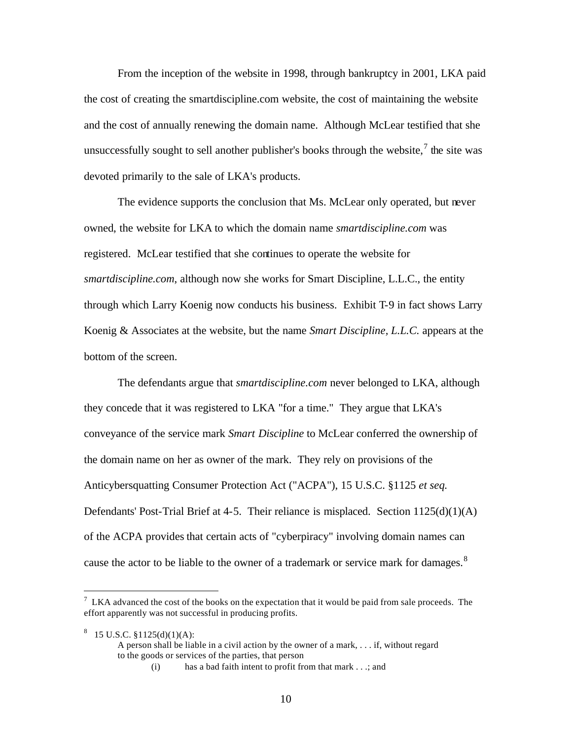From the inception of the website in 1998, through bankruptcy in 2001, LKA paid the cost of creating the smartdiscipline.com website, the cost of maintaining the website and the cost of annually renewing the domain name. Although McLear testified that she unsuccessfully sought to sell another publisher's books through the website, $\frac{7}{1}$  the site was devoted primarily to the sale of LKA's products.

The evidence supports the conclusion that Ms. McLear only operated, but never owned, the website for LKA to which the domain name *smartdiscipline.com* was registered. McLear testified that she continues to operate the website for *smartdiscipline.com*, although now she works for Smart Discipline, L.L.C., the entity through which Larry Koenig now conducts his business. Exhibit T-9 in fact shows Larry Koenig & Associates at the website, but the name *Smart Discipline, L.L.C.* appears at the bottom of the screen.

The defendants argue that *smartdiscipline.com* never belonged to LKA, although they concede that it was registered to LKA "for a time." They argue that LKA's conveyance of the service mark *Smart Discipline* to McLear conferred the ownership of the domain name on her as owner of the mark. They rely on provisions of the Anticybersquatting Consumer Protection Act ("ACPA"), 15 U.S.C. §1125 *et seq.* Defendants' Post-Trial Brief at 4-5. Their reliance is misplaced. Section  $1125(d)(1)(A)$ of the ACPA provides that certain acts of "cyberpiracy" involving domain names can cause the actor to be liable to the owner of a trademark or service mark for damages. $8$ 

 $<sup>7</sup>$  LKA advanced the cost of the books on the expectation that it would be paid from sale proceeds. The</sup> effort apparently was not successful in producing profits.

 $8 \quad 15 \text{ U.S.C. } $1125(\text{d})(1)(\text{A})$ : A person shall be liable in a civil action by the owner of a mark, . . . if, without regard to the goods or services of the parties, that person

<sup>(</sup>i) has a bad faith intent to profit from that mark . . .; and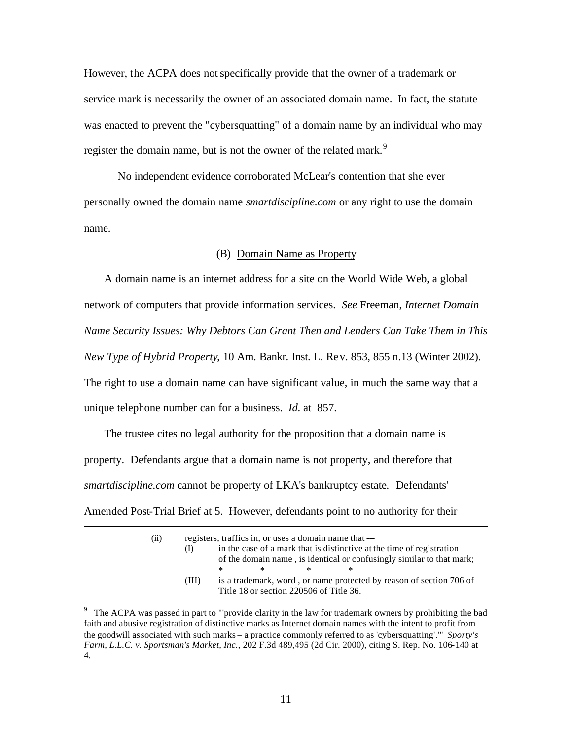However, the ACPA does not specifically provide that the owner of a trademark or service mark is necessarily the owner of an associated domain name. In fact, the statute was enacted to prevent the "cybersquatting" of a domain name by an individual who may register the domain name, but is not the owner of the related mark.<sup>9</sup>

No independent evidence corroborated McLear's contention that she ever personally owned the domain name *smartdiscipline.com* or any right to use the domain name.

## (B) Domain Name as Property

A domain name is an internet address for a site on the World Wide Web, a global network of computers that provide information services. *See* Freeman, *Internet Domain Name Security Issues: Why Debtors Can Grant Then and Lenders Can Take Them in This New Type of Hybrid Property*, 10 Am. Bankr. Inst. L. Rev. 853, 855 n.13 (Winter 2002). The right to use a domain name can have significant value, in much the same way that a unique telephone number can for a business. *Id*. at 857.

The trustee cites no legal authority for the proposition that a domain name is property. Defendants argue that a domain name is not property, and therefore that *smartdiscipline.com* cannot be property of LKA's bankruptcy estate*.* Defendants' Amended Post-Trial Brief at 5. However, defendants point to no authority for their

| (ii) | registers, traffics in, or uses a domain name that --- |                                                                                                                |   |                                                                                                                                                |   |  |  |
|------|--------------------------------------------------------|----------------------------------------------------------------------------------------------------------------|---|------------------------------------------------------------------------------------------------------------------------------------------------|---|--|--|
|      | (I)                                                    |                                                                                                                |   | in the case of a mark that is distinctive at the time of registration<br>of the domain name, is identical or confusingly similar to that mark; |   |  |  |
|      |                                                        | $\ast$                                                                                                         | ж | $\ast$                                                                                                                                         | * |  |  |
|      | (III)                                                  | is a trademark, word, or name protected by reason of section 706 of<br>Title 18 or section 220506 of Title 36. |   |                                                                                                                                                |   |  |  |

<sup>&</sup>lt;sup>9</sup> The ACPA was passed in part to "'provide clarity in the law for trademark owners by prohibiting the bad faith and abusive registration of distinctive marks as Internet domain names with the intent to profit from the goodwill associated with such marks – a practice commonly referred to as 'cybersquatting'.'" *Sporty's Farm, L.L.C. v. Sportsman's Market, Inc.*, 202 F.3d 489,495 (2d Cir. 2000), citing S. Rep. No. 106-140 at 4.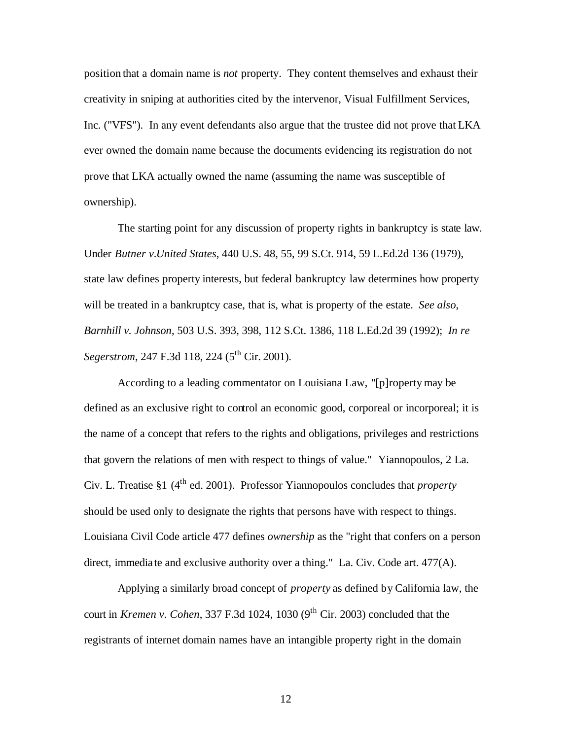position that a domain name is *not* property. They content themselves and exhaust their creativity in sniping at authorities cited by the intervenor, Visual Fulfillment Services, Inc. ("VFS"). In any event defendants also argue that the trustee did not prove that LKA ever owned the domain name because the documents evidencing its registration do not prove that LKA actually owned the name (assuming the name was susceptible of ownership).

The starting point for any discussion of property rights in bankruptcy is state law. Under *Butner v.United States*, 440 U.S. 48, 55, 99 S.Ct. 914, 59 L.Ed.2d 136 (1979), state law defines property interests, but federal bankruptcy law determines how property will be treated in a bankruptcy case, that is, what is property of the estate. *See also*, *Barnhill v. Johnson*, 503 U.S. 393, 398, 112 S.Ct. 1386, 118 L.Ed.2d 39 (1992); *In re Segerstrom*, 247 F.3d 118, 224 (5<sup>th</sup> Cir. 2001).

According to a leading commentator on Louisiana Law, "[p]roperty may be defined as an exclusive right to control an economic good, corporeal or incorporeal; it is the name of a concept that refers to the rights and obligations, privileges and restrictions that govern the relations of men with respect to things of value." Yiannopoulos, 2 La. Civ. L. Treatise §1 (4th ed. 2001). Professor Yiannopoulos concludes that *property* should be used only to designate the rights that persons have with respect to things. Louisiana Civil Code article 477 defines *ownership* as the "right that confers on a person direct, immediate and exclusive authority over a thing." La. Civ. Code art. 477(A).

Applying a similarly broad concept of *property* as defined by California law, the court in *Kremen v. Cohen*, 337 F.3d 1024, 1030 (9<sup>th</sup> Cir. 2003) concluded that the registrants of internet domain names have an intangible property right in the domain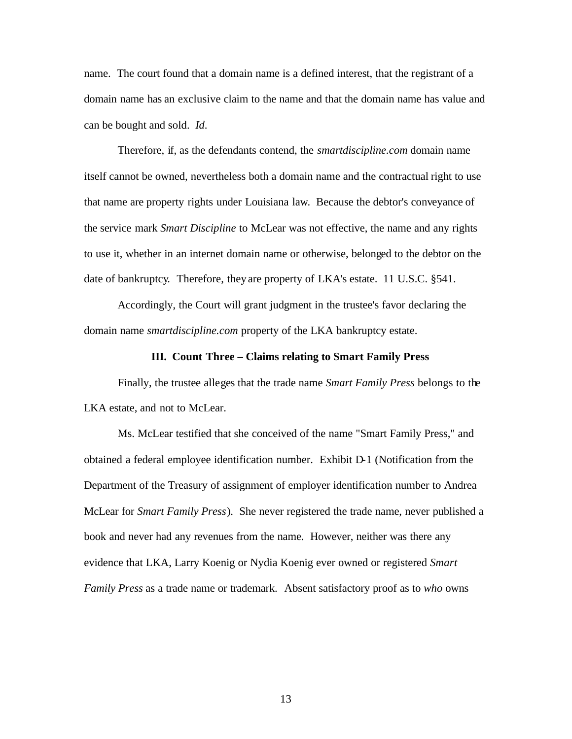name. The court found that a domain name is a defined interest, that the registrant of a domain name has an exclusive claim to the name and that the domain name has value and can be bought and sold. *Id*.

Therefore, if, as the defendants contend, the *smartdiscipline.com* domain name itself cannot be owned, nevertheless both a domain name and the contractual right to use that name are property rights under Louisiana law. Because the debtor's conveyance of the service mark *Smart Discipline* to McLear was not effective, the name and any rights to use it, whether in an internet domain name or otherwise, belonged to the debtor on the date of bankruptcy. Therefore, they are property of LKA's estate. 11 U.S.C. §541.

Accordingly, the Court will grant judgment in the trustee's favor declaring the domain name *smartdiscipline.com* property of the LKA bankruptcy estate.

### **III. Count Three – Claims relating to Smart Family Press**

Finally, the trustee alleges that the trade name *Smart Family Press* belongs to the LKA estate, and not to McLear.

Ms. McLear testified that she conceived of the name "Smart Family Press," and obtained a federal employee identification number. Exhibit D-1 (Notification from the Department of the Treasury of assignment of employer identification number to Andrea McLear for *Smart Family Press*). She never registered the trade name, never published a book and never had any revenues from the name. However, neither was there any evidence that LKA, Larry Koenig or Nydia Koenig ever owned or registered *Smart Family Press* as a trade name or trademark. Absent satisfactory proof as to *who* owns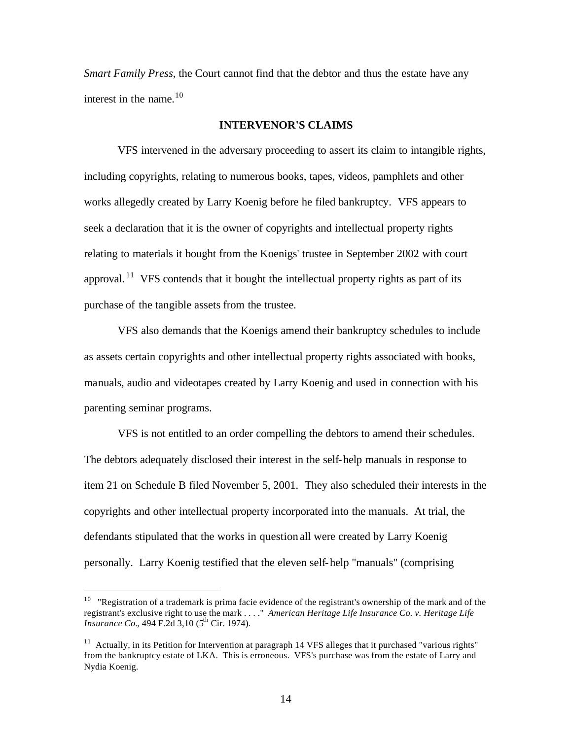*Smart Family Press*, the Court cannot find that the debtor and thus the estate have any interest in the name.<sup>10</sup>

## **INTERVENOR'S CLAIMS**

VFS intervened in the adversary proceeding to assert its claim to intangible rights, including copyrights, relating to numerous books, tapes, videos, pamphlets and other works allegedly created by Larry Koenig before he filed bankruptcy. VFS appears to seek a declaration that it is the owner of copyrights and intellectual property rights relating to materials it bought from the Koenigs' trustee in September 2002 with court approval.<sup>11</sup> VFS contends that it bought the intellectual property rights as part of its purchase of the tangible assets from the trustee.

VFS also demands that the Koenigs amend their bankruptcy schedules to include as assets certain copyrights and other intellectual property rights associated with books, manuals, audio and videotapes created by Larry Koenig and used in connection with his parenting seminar programs.

VFS is not entitled to an order compelling the debtors to amend their schedules. The debtors adequately disclosed their interest in the self-help manuals in response to item 21 on Schedule B filed November 5, 2001. They also scheduled their interests in the copyrights and other intellectual property incorporated into the manuals. At trial, the defendants stipulated that the works in question all were created by Larry Koenig personally. Larry Koenig testified that the eleven self-help "manuals" (comprising

 $10$  "Registration of a trademark is prima facie evidence of the registrant's ownership of the mark and of the registrant's exclusive right to use the mark . . . ." *American Heritage Life Insurance Co. v. Heritage Life Insurance Co.*, 494 F.2d 3.10 (5<sup>th</sup> Cir. 1974).

 $11$  Actually, in its Petition for Intervention at paragraph 14 VFS alleges that it purchased "various rights" from the bankruptcy estate of LKA. This is erroneous. VFS's purchase was from the estate of Larry and Nydia Koenig.